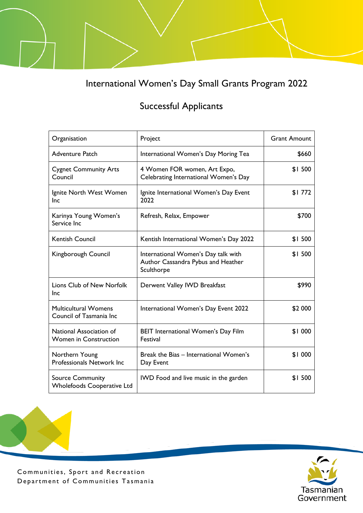International Women's Day Small Grants Program 2022

## Successful Applicants

| Organisation                                                 | Project                                                                                 | <b>Grant Amount</b> |
|--------------------------------------------------------------|-----------------------------------------------------------------------------------------|---------------------|
| <b>Adventure Patch</b>                                       | International Women's Day Moring Tea                                                    | \$660               |
| <b>Cygnet Community Arts</b><br>Council                      | 4 Women FOR women, Art Expo,<br>Celebrating International Women's Day                   | \$1500              |
| Ignite North West Women<br>Inc                               | Ignite International Women's Day Event<br>2022                                          | \$1772              |
| Karinya Young Women's<br>Service Inc                         | Refresh, Relax, Empower                                                                 | \$700               |
| <b>Kentish Council</b>                                       | Kentish International Women's Day 2022                                                  | \$1500              |
| Kingborough Council                                          | International Women's Day talk with<br>Author Cassandra Pybus and Heather<br>Sculthorpe | \$1500              |
| Lions Club of New Norfolk<br>Inc                             | Derwent Valley IWD Breakfast                                                            | \$990               |
| <b>Multicultural Womens</b><br>Council of Tasmania Inc       | International Women's Day Event 2022                                                    | \$2 000             |
| National Association of<br><b>Women in Construction</b>      | <b>BEIT International Women's Day Film</b><br>Festival                                  | \$1 000             |
| Northern Young<br>Professionals Network Inc                  | Break the Bias - International Women's<br>Day Event                                     | \$1 000             |
| <b>Source Community</b><br><b>Wholefoods Cooperative Ltd</b> | IWD Food and live music in the garden                                                   | \$1500              |



Communities, Sport and Recreation Department of Communities Tasmania